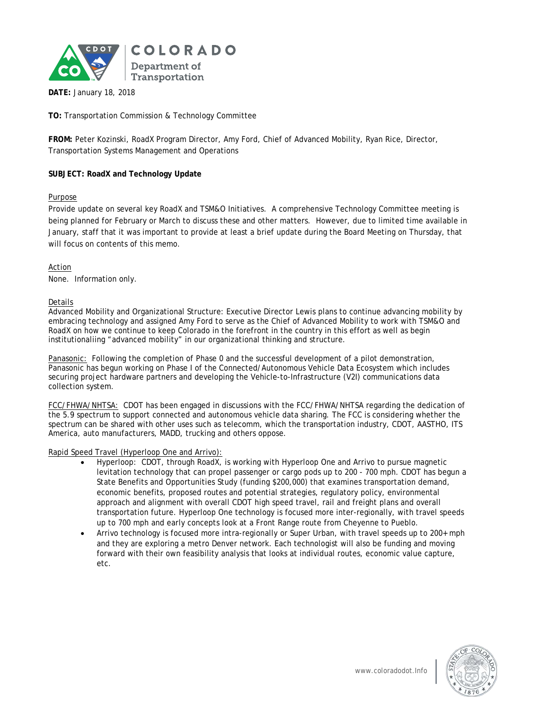

**DATE:** January 18, 2018

**TO:** Transportation Commission & Technology Committee

**FROM:** Peter Kozinski, RoadX Program Director, Amy Ford, Chief of Advanced Mobility, Ryan Rice, Director, Transportation Systems Management and Operations

# **SUBJECT: RoadX and Technology Update**

# Purpose

Provide update on several key RoadX and TSM&O Initiatives. A comprehensive Technology Committee meeting is being planned for February or March to discuss these and other matters. However, due to limited time available in January, staff that it was important to provide at least a brief update during the Board Meeting on Thursday, that will focus on contents of this memo.

### Action

None. Information only.

# Details

Advanced Mobility and Organizational Structure: Executive Director Lewis plans to continue advancing mobility by embracing technology and assigned Amy Ford to serve as the Chief of Advanced Mobility to work with TSM&O and RoadX on how we continue to keep Colorado in the forefront in the country in this effort as well as begin institutionaliing "advanced mobility" in our organizational thinking and structure.

Panasonic: Following the completion of Phase 0 and the successful development of a pilot demonstration, Panasonic has begun working on Phase I of the Connected/Autonomous Vehicle Data Ecosystem which includes securing project hardware partners and developing the Vehicle-to-Infrastructure (V2I) communications data collection system.

FCC/FHWA/NHTSA: CDOT has been engaged in discussions with the FCC/FHWA/NHTSA regarding the dedication of the 5.9 spectrum to support connected and autonomous vehicle data sharing. The FCC is considering whether the spectrum can be shared with other uses such as telecomm, which the transportation industry, CDOT, AASTHO, ITS America, auto manufacturers, MADD, trucking and others oppose.

#### Rapid Speed Travel (Hyperloop One and Arrivo):

- Hyperloop: CDOT, through RoadX, is working with Hyperloop One and Arrivo to pursue magnetic levitation technology that can propel passenger or cargo pods up to 200 - 700 mph. CDOT has begun a State Benefits and Opportunities Study (funding \$200,000) that examines transportation demand, economic benefits, proposed routes and potential strategies, regulatory policy, environmental approach and alignment with overall CDOT high speed travel, rail and freight plans and overall transportation future. Hyperloop One technology is focused more inter-regionally, with travel speeds up to 700 mph and early concepts look at a Front Range route from Cheyenne to Pueblo.
- Arrivo technology is focused more intra-regionally or Super Urban, with travel speeds up to 200+ mph and they are exploring a metro Denver network. Each technologist will also be funding and moving forward with their own feasibility analysis that looks at individual routes, economic value capture, etc.